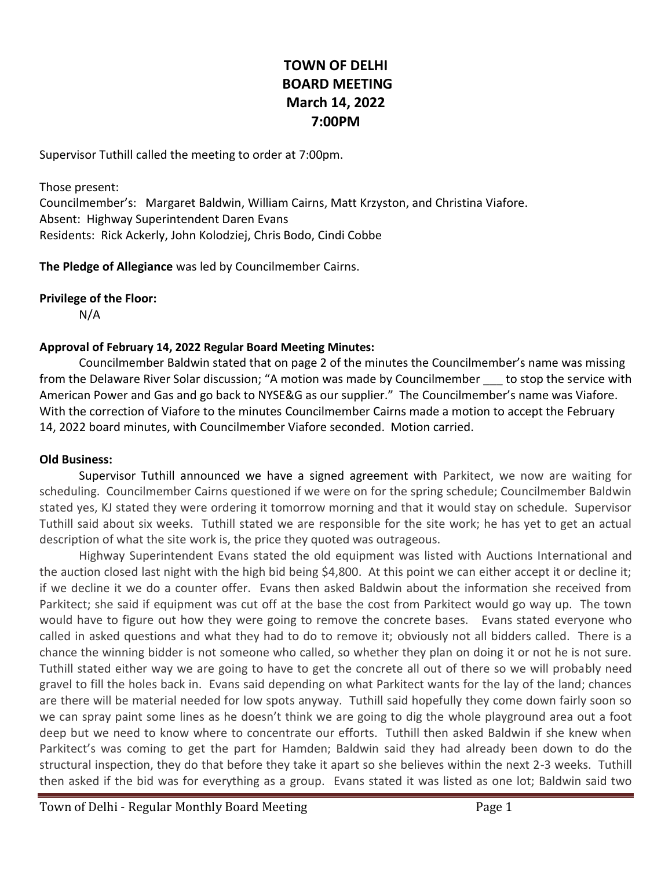# **TOWN OF DELHI BOARD MEETING March 14, 2022 7:00PM**

Supervisor Tuthill called the meeting to order at 7:00pm.

Those present: Councilmember's: Margaret Baldwin, William Cairns, Matt Krzyston, and Christina Viafore. Absent: Highway Superintendent Daren Evans Residents: Rick Ackerly, John Kolodziej, Chris Bodo, Cindi Cobbe

**The Pledge of Allegiance** was led by Councilmember Cairns.

**Privilege of the Floor:**

N/A

#### **Approval of February 14, 2022 Regular Board Meeting Minutes:**

Councilmember Baldwin stated that on page 2 of the minutes the Councilmember's name was missing from the Delaware River Solar discussion; "A motion was made by Councilmember \_\_\_ to stop the service with American Power and Gas and go back to NYSE&G as our supplier." The Councilmember's name was Viafore. With the correction of Viafore to the minutes Councilmember Cairns made a motion to accept the February 14, 2022 board minutes, with Councilmember Viafore seconded. Motion carried.

#### **Old Business:**

Supervisor Tuthill announced we have a signed agreement with Parkitect, we now are waiting for scheduling. Councilmember Cairns questioned if we were on for the spring schedule; Councilmember Baldwin stated yes, KJ stated they were ordering it tomorrow morning and that it would stay on schedule. Supervisor Tuthill said about six weeks. Tuthill stated we are responsible for the site work; he has yet to get an actual description of what the site work is, the price they quoted was outrageous.

Highway Superintendent Evans stated the old equipment was listed with Auctions International and the auction closed last night with the high bid being \$4,800. At this point we can either accept it or decline it; if we decline it we do a counter offer. Evans then asked Baldwin about the information she received from Parkitect; she said if equipment was cut off at the base the cost from Parkitect would go way up. The town would have to figure out how they were going to remove the concrete bases. Evans stated everyone who called in asked questions and what they had to do to remove it; obviously not all bidders called. There is a chance the winning bidder is not someone who called, so whether they plan on doing it or not he is not sure. Tuthill stated either way we are going to have to get the concrete all out of there so we will probably need gravel to fill the holes back in. Evans said depending on what Parkitect wants for the lay of the land; chances are there will be material needed for low spots anyway. Tuthill said hopefully they come down fairly soon so we can spray paint some lines as he doesn't think we are going to dig the whole playground area out a foot deep but we need to know where to concentrate our efforts. Tuthill then asked Baldwin if she knew when Parkitect's was coming to get the part for Hamden; Baldwin said they had already been down to do the structural inspection, they do that before they take it apart so she believes within the next 2-3 weeks. Tuthill then asked if the bid was for everything as a group. Evans stated it was listed as one lot; Baldwin said two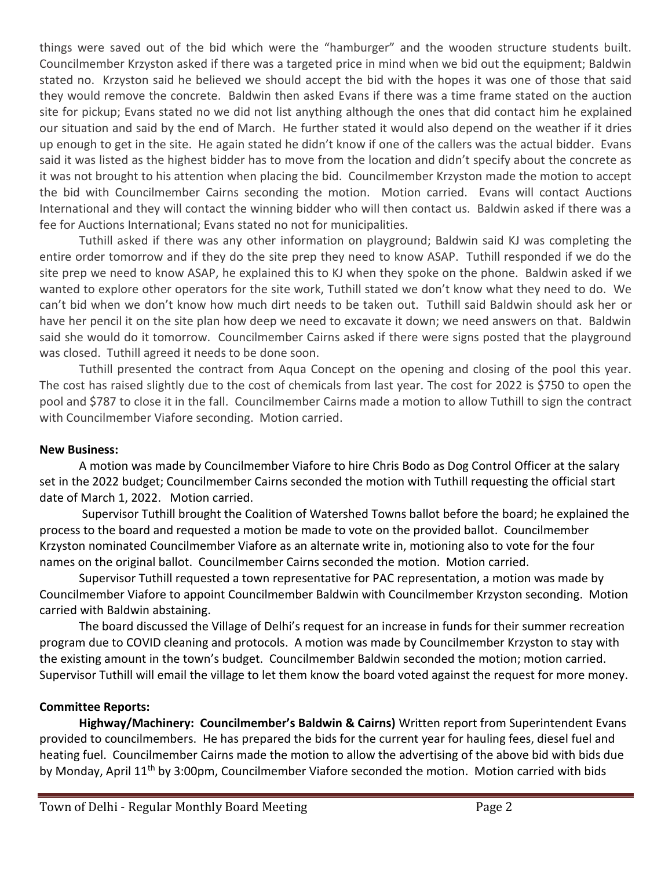things were saved out of the bid which were the "hamburger" and the wooden structure students built. Councilmember Krzyston asked if there was a targeted price in mind when we bid out the equipment; Baldwin stated no. Krzyston said he believed we should accept the bid with the hopes it was one of those that said they would remove the concrete. Baldwin then asked Evans if there was a time frame stated on the auction site for pickup; Evans stated no we did not list anything although the ones that did contact him he explained our situation and said by the end of March. He further stated it would also depend on the weather if it dries up enough to get in the site. He again stated he didn't know if one of the callers was the actual bidder. Evans said it was listed as the highest bidder has to move from the location and didn't specify about the concrete as it was not brought to his attention when placing the bid. Councilmember Krzyston made the motion to accept the bid with Councilmember Cairns seconding the motion. Motion carried. Evans will contact Auctions International and they will contact the winning bidder who will then contact us. Baldwin asked if there was a fee for Auctions International; Evans stated no not for municipalities.

Tuthill asked if there was any other information on playground; Baldwin said KJ was completing the entire order tomorrow and if they do the site prep they need to know ASAP. Tuthill responded if we do the site prep we need to know ASAP, he explained this to KJ when they spoke on the phone. Baldwin asked if we wanted to explore other operators for the site work, Tuthill stated we don't know what they need to do. We can't bid when we don't know how much dirt needs to be taken out. Tuthill said Baldwin should ask her or have her pencil it on the site plan how deep we need to excavate it down; we need answers on that. Baldwin said she would do it tomorrow. Councilmember Cairns asked if there were signs posted that the playground was closed. Tuthill agreed it needs to be done soon.

Tuthill presented the contract from Aqua Concept on the opening and closing of the pool this year. The cost has raised slightly due to the cost of chemicals from last year. The cost for 2022 is \$750 to open the pool and \$787 to close it in the fall. Councilmember Cairns made a motion to allow Tuthill to sign the contract with Councilmember Viafore seconding. Motion carried.

## **New Business:**

A motion was made by Councilmember Viafore to hire Chris Bodo as Dog Control Officer at the salary set in the 2022 budget; Councilmember Cairns seconded the motion with Tuthill requesting the official start date of March 1, 2022. Motion carried.

Supervisor Tuthill brought the Coalition of Watershed Towns ballot before the board; he explained the process to the board and requested a motion be made to vote on the provided ballot. Councilmember Krzyston nominated Councilmember Viafore as an alternate write in, motioning also to vote for the four names on the original ballot. Councilmember Cairns seconded the motion. Motion carried.

Supervisor Tuthill requested a town representative for PAC representation, a motion was made by Councilmember Viafore to appoint Councilmember Baldwin with Councilmember Krzyston seconding. Motion carried with Baldwin abstaining.

The board discussed the Village of Delhi's request for an increase in funds for their summer recreation program due to COVID cleaning and protocols. A motion was made by Councilmember Krzyston to stay with the existing amount in the town's budget. Councilmember Baldwin seconded the motion; motion carried. Supervisor Tuthill will email the village to let them know the board voted against the request for more money.

## **Committee Reports:**

**Highway/Machinery: Councilmember's Baldwin & Cairns)** Written report from Superintendent Evans provided to councilmembers. He has prepared the bids for the current year for hauling fees, diesel fuel and heating fuel. Councilmember Cairns made the motion to allow the advertising of the above bid with bids due by Monday, April 11<sup>th</sup> by 3:00pm, Councilmember Viafore seconded the motion. Motion carried with bids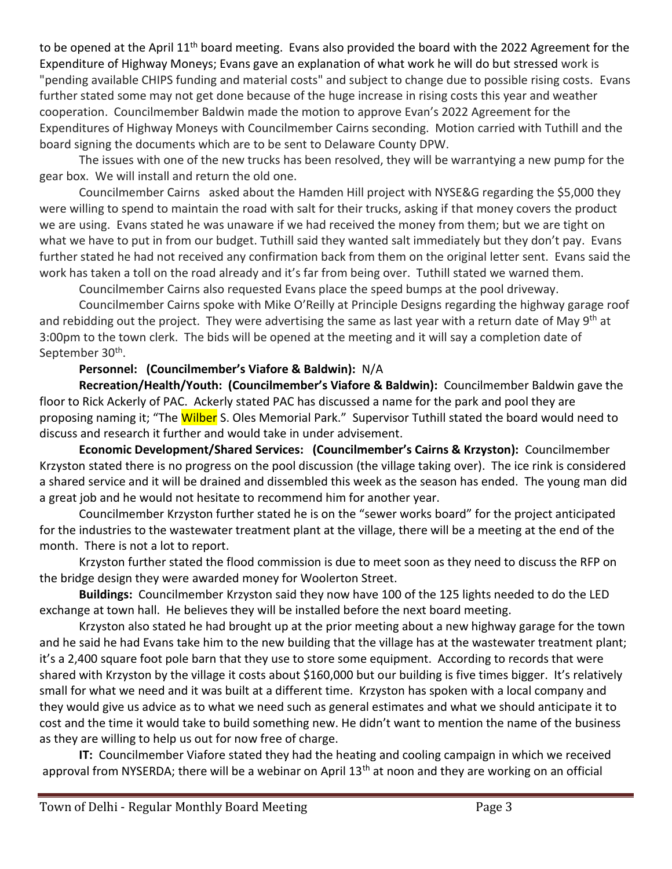to be opened at the April 11<sup>th</sup> board meeting. Evans also provided the board with the 2022 Agreement for the Expenditure of Highway Moneys; Evans gave an explanation of what work he will do but stressed work is "pending available CHIPS funding and material costs" and subject to change due to possible rising costs. Evans further stated some may not get done because of the huge increase in rising costs this year and weather cooperation. Councilmember Baldwin made the motion to approve Evan's 2022 Agreement for the Expenditures of Highway Moneys with Councilmember Cairns seconding. Motion carried with Tuthill and the board signing the documents which are to be sent to Delaware County DPW.

The issues with one of the new trucks has been resolved, they will be warrantying a new pump for the gear box. We will install and return the old one.

Councilmember Cairns asked about the Hamden Hill project with NYSE&G regarding the \$5,000 they were willing to spend to maintain the road with salt for their trucks, asking if that money covers the product we are using. Evans stated he was unaware if we had received the money from them; but we are tight on what we have to put in from our budget. Tuthill said they wanted salt immediately but they don't pay. Evans further stated he had not received any confirmation back from them on the original letter sent. Evans said the work has taken a toll on the road already and it's far from being over. Tuthill stated we warned them.

Councilmember Cairns also requested Evans place the speed bumps at the pool driveway.

Councilmember Cairns spoke with Mike O'Reilly at Principle Designs regarding the highway garage roof and rebidding out the project. They were advertising the same as last year with a return date of May 9<sup>th</sup> at 3:00pm to the town clerk. The bids will be opened at the meeting and it will say a completion date of September 30<sup>th</sup>.

## **Personnel: (Councilmember's Viafore & Baldwin):** N/A

**Recreation/Health/Youth: (Councilmember's Viafore & Baldwin):** Councilmember Baldwin gave the floor to Rick Ackerly of PAC. Ackerly stated PAC has discussed a name for the park and pool they are proposing naming it; "The Wilber S. Oles Memorial Park." Supervisor Tuthill stated the board would need to discuss and research it further and would take in under advisement.

**Economic Development/Shared Services: (Councilmember's Cairns & Krzyston):** Councilmember Krzyston stated there is no progress on the pool discussion (the village taking over). The ice rink is considered a shared service and it will be drained and dissembled this week as the season has ended. The young man did a great job and he would not hesitate to recommend him for another year.

Councilmember Krzyston further stated he is on the "sewer works board" for the project anticipated for the industries to the wastewater treatment plant at the village, there will be a meeting at the end of the month. There is not a lot to report.

Krzyston further stated the flood commission is due to meet soon as they need to discuss the RFP on the bridge design they were awarded money for Woolerton Street.

**Buildings:** Councilmember Krzyston said they now have 100 of the 125 lights needed to do the LED exchange at town hall. He believes they will be installed before the next board meeting.

Krzyston also stated he had brought up at the prior meeting about a new highway garage for the town and he said he had Evans take him to the new building that the village has at the wastewater treatment plant; it's a 2,400 square foot pole barn that they use to store some equipment. According to records that were shared with Krzyston by the village it costs about \$160,000 but our building is five times bigger. It's relatively small for what we need and it was built at a different time. Krzyston has spoken with a local company and they would give us advice as to what we need such as general estimates and what we should anticipate it to cost and the time it would take to build something new. He didn't want to mention the name of the business as they are willing to help us out for now free of charge.

**IT:** Councilmember Viafore stated they had the heating and cooling campaign in which we received approval from NYSERDA; there will be a webinar on April 13<sup>th</sup> at noon and they are working on an official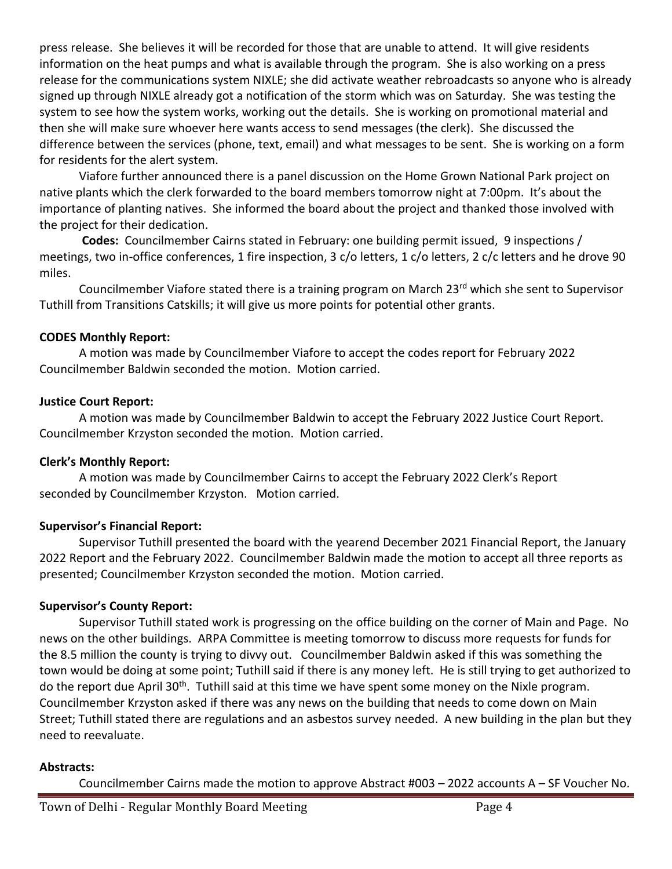press release. She believes it will be recorded for those that are unable to attend. It will give residents information on the heat pumps and what is available through the program. She is also working on a press release for the communications system NIXLE; she did activate weather rebroadcasts so anyone who is already signed up through NIXLE already got a notification of the storm which was on Saturday. She was testing the system to see how the system works, working out the details. She is working on promotional material and then she will make sure whoever here wants access to send messages (the clerk). She discussed the difference between the services (phone, text, email) and what messages to be sent. She is working on a form for residents for the alert system.

Viafore further announced there is a panel discussion on the Home Grown National Park project on native plants which the clerk forwarded to the board members tomorrow night at 7:00pm. It's about the importance of planting natives. She informed the board about the project and thanked those involved with the project for their dedication.

**Codes:** Councilmember Cairns stated in February: one building permit issued, 9 inspections / meetings, two in-office conferences, 1 fire inspection, 3 c/o letters, 1 c/o letters, 2 c/c letters and he drove 90 miles.

Councilmember Viafore stated there is a training program on March 23<sup>rd</sup> which she sent to Supervisor Tuthill from Transitions Catskills; it will give us more points for potential other grants.

## **CODES Monthly Report:**

A motion was made by Councilmember Viafore to accept the codes report for February 2022 Councilmember Baldwin seconded the motion. Motion carried.

## **Justice Court Report:**

A motion was made by Councilmember Baldwin to accept the February 2022 Justice Court Report. Councilmember Krzyston seconded the motion. Motion carried.

# **Clerk's Monthly Report:**

A motion was made by Councilmember Cairns to accept the February 2022 Clerk's Report seconded by Councilmember Krzyston. Motion carried.

# **Supervisor's Financial Report:**

Supervisor Tuthill presented the board with the yearend December 2021 Financial Report, the January 2022 Report and the February 2022. Councilmember Baldwin made the motion to accept all three reports as presented; Councilmember Krzyston seconded the motion. Motion carried.

# **Supervisor's County Report:**

Supervisor Tuthill stated work is progressing on the office building on the corner of Main and Page. No news on the other buildings. ARPA Committee is meeting tomorrow to discuss more requests for funds for the 8.5 million the county is trying to divvy out. Councilmember Baldwin asked if this was something the town would be doing at some point; Tuthill said if there is any money left. He is still trying to get authorized to do the report due April 30<sup>th</sup>. Tuthill said at this time we have spent some money on the Nixle program. Councilmember Krzyston asked if there was any news on the building that needs to come down on Main Street; Tuthill stated there are regulations and an asbestos survey needed. A new building in the plan but they need to reevaluate.

# **Abstracts:**

Councilmember Cairns made the motion to approve Abstract #003 – 2022 accounts A – SF Voucher No.